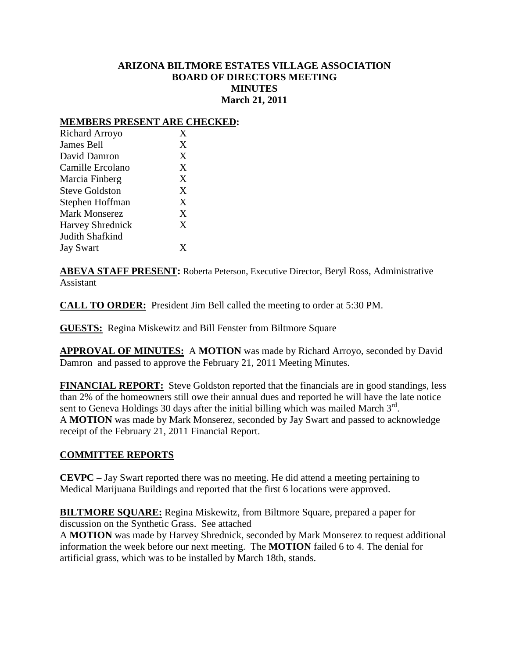# **ARIZONA BILTMORE ESTATES VILLAGE ASSOCIATION BOARD OF DIRECTORS MEETING MINUTES March 21, 2011**

## **MEMBERS PRESENT ARE CHECKED:**

| Richard Arroyo          | X |
|-------------------------|---|
| James Bell              | X |
| David Damron            | X |
| Camille Ercolano        | X |
| Marcia Finberg          | X |
| <b>Steve Goldston</b>   | X |
| Stephen Hoffman         | X |
| <b>Mark Monserez</b>    | X |
| <b>Harvey Shrednick</b> | X |
| Judith Shafkind         |   |
| <b>Jay Swart</b>        | Y |
|                         |   |

**ABEVA STAFF PRESENT:** Roberta Peterson, Executive Director, Beryl Ross, Administrative Assistant

**CALL TO ORDER:** President Jim Bell called the meeting to order at 5:30 PM.

**GUESTS:** Regina Miskewitz and Bill Fenster from Biltmore Square

**APPROVAL OF MINUTES:** A **MOTION** was made by Richard Arroyo, seconded by David Damron and passed to approve the February 21, 2011 Meeting Minutes.

**FINANCIAL REPORT:** Steve Goldston reported that the financials are in good standings, less than 2% of the homeowners still owe their annual dues and reported he will have the late notice sent to Geneva Holdings 30 days after the initial billing which was mailed March  $3<sup>rd</sup>$ . A **MOTION** was made by Mark Monserez, seconded by Jay Swart and passed to acknowledge receipt of the February 21, 2011 Financial Report.

## **COMMITTEE REPORTS**

**CEVPC –** Jay Swart reported there was no meeting. He did attend a meeting pertaining to Medical Marijuana Buildings and reported that the first 6 locations were approved.

**BILTMORE SQUARE:** Regina Miskewitz, from Biltmore Square, prepared a paper for discussion on the Synthetic Grass. See attached

A **MOTION** was made by Harvey Shrednick, seconded by Mark Monserez to request additional information the week before our next meeting. The **MOTION** failed 6 to 4. The denial for artificial grass, which was to be installed by March 18th, stands.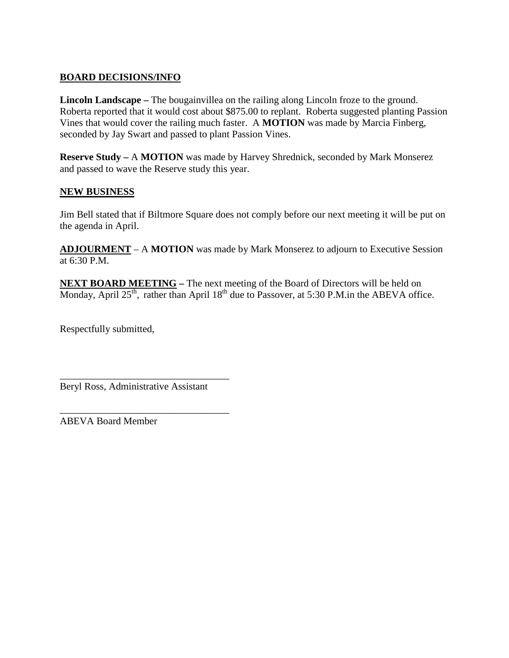# **BOARD DECISIONS/INFO**

**Lincoln Landscape –** The bougainvillea on the railing along Lincoln froze to the ground. Roberta reported that it would cost about \$875.00 to replant. Roberta suggested planting Passion Vines that would cover the railing much faster. A **MOTION** was made by Marcia Finberg, seconded by Jay Swart and passed to plant Passion Vines.

**Reserve Study –** A **MOTION** was made by Harvey Shrednick, seconded by Mark Monserez and passed to wave the Reserve study this year.

# **NEW BUSINESS**

Jim Bell stated that if Biltmore Square does not comply before our next meeting it will be put on the agenda in April.

**ADJOURMENT** – A **MOTION** was made by Mark Monserez to adjourn to Executive Session at 6:30 P.M.

**NEXT BOARD MEETING –** The next meeting of the Board of Directors will be held on Monday, April  $25<sup>th</sup>$ , rather than April  $18<sup>th</sup>$  due to Passover, at 5:30 P.M.in the ABEVA office.

Respectfully submitted,

Beryl Ross, Administrative Assistant

\_\_\_\_\_\_\_\_\_\_\_\_\_\_\_\_\_\_\_\_\_\_\_\_\_\_\_\_\_\_\_\_\_\_

\_\_\_\_\_\_\_\_\_\_\_\_\_\_\_\_\_\_\_\_\_\_\_\_\_\_\_\_\_\_\_\_\_\_

ABEVA Board Member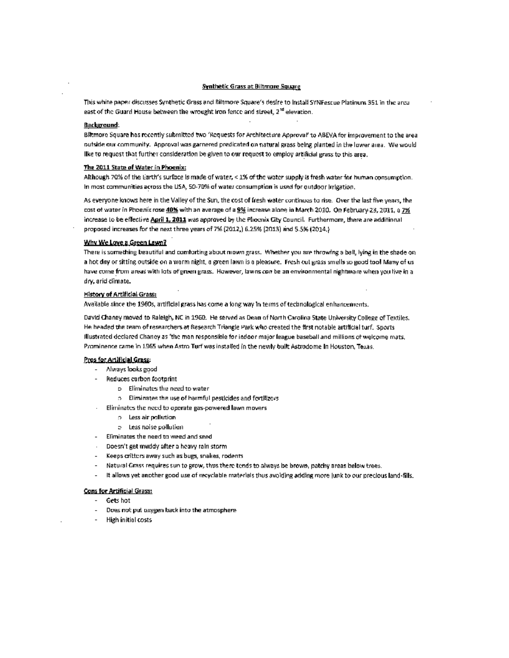## **Synthetic Grass at Biltmore Square**

This white paper discusses Synthetic Grass and Biltmore Square's desire to Install SYNFescue Platinum 351 in the area east of the Guard House between the wrought iron fence and street, 2<sup>10</sup> elevation.

#### **Background:**

Blitmore Square has recently submitted two 'Requests for Architecture Approval' to ABEVA for improvement to the area outside our community. Approval was garnered predicated on natural grass being planted in the lower area. We would like to request that further consideration be given to our request to employ artificial grass to this area.

## The 2011 State of Water in Phoenix:

Although 70% of the Earth's surface is made of water, < 1% of the water supply is fresh water for human consumption. In most communities across the USA, 50-70% of water consumption is used for outdoor Irrigation.

As everyone knows here in the Valley of the Sun, the cost of fresh water continues to rise. Over the last five years, the cost of water in Phoenix rose 40% with an average of a 9% increase alone in March 2010. On February 23, 2011, a 7% increase to be effective April 1, 2011 was approved by the Phoenix City Council. Furthermore, there are additional proposed increases for the next three years of 7% (2012,) 6.25% (2013) and 5.5% (2014.)

### Why We Love a Green Lawn?

There is something beautiful and comforting about niown grass. Whether you are throwing a ball, lying in the shade on a hot day or sitting outside on a warm night, a green lawn is a pleasure. Fresh cut grass smells so good tool Many of ushave come from areas with lots of green grass. However, lawns con be an environmental nightmare when you live in a dry, arid climate.

#### **History of Artificial Grass:**

Available since the 1960s, artificial grass has come a long way in terms of technological enhancements.

David Chaney moved to Raleigh, NC in 1960. He served as Dean of North Carolina State University College of Textiles. He headed the team of researchers at Research Triangle Park who created the first notable artificial turf. Sports illustrated declared Chaney as 'the man responsible for indoor major league baseball and millions of welcome mats, Prominence came in 1965 when Astro Turf was installed in the newly bullt Astrodome In Houston, Texas.

## Pros for Artificial Grass:

- Always looks good
	- Reduces carbon footprint
		- o Eliminates the need to water
		- $\circ$  Eliminates the use of harmful pesticides and fortilizers.
	- Eliminates the need to operate gas-powered lawn movers
		- $\alpha$  Less air pollution.
		- o Less noise pollution
- Eliminates the need to weed and seed
- Doesn't get muddy after a heavy rain storm
- Keeps crittors away such as bugs, snakes, rodents
- Natural Grass requires sun to grow, thus there tends to always be brown, patchy areas below trees.
- $\sim$ It allows yet another good use of recyclable materials thus avoiding adding more junk to our precious land-fills.

#### **Cons for Artificial Grass:**

- Gets hot
- Does not put oxygen back into the atmosphere
- **High initial costs**